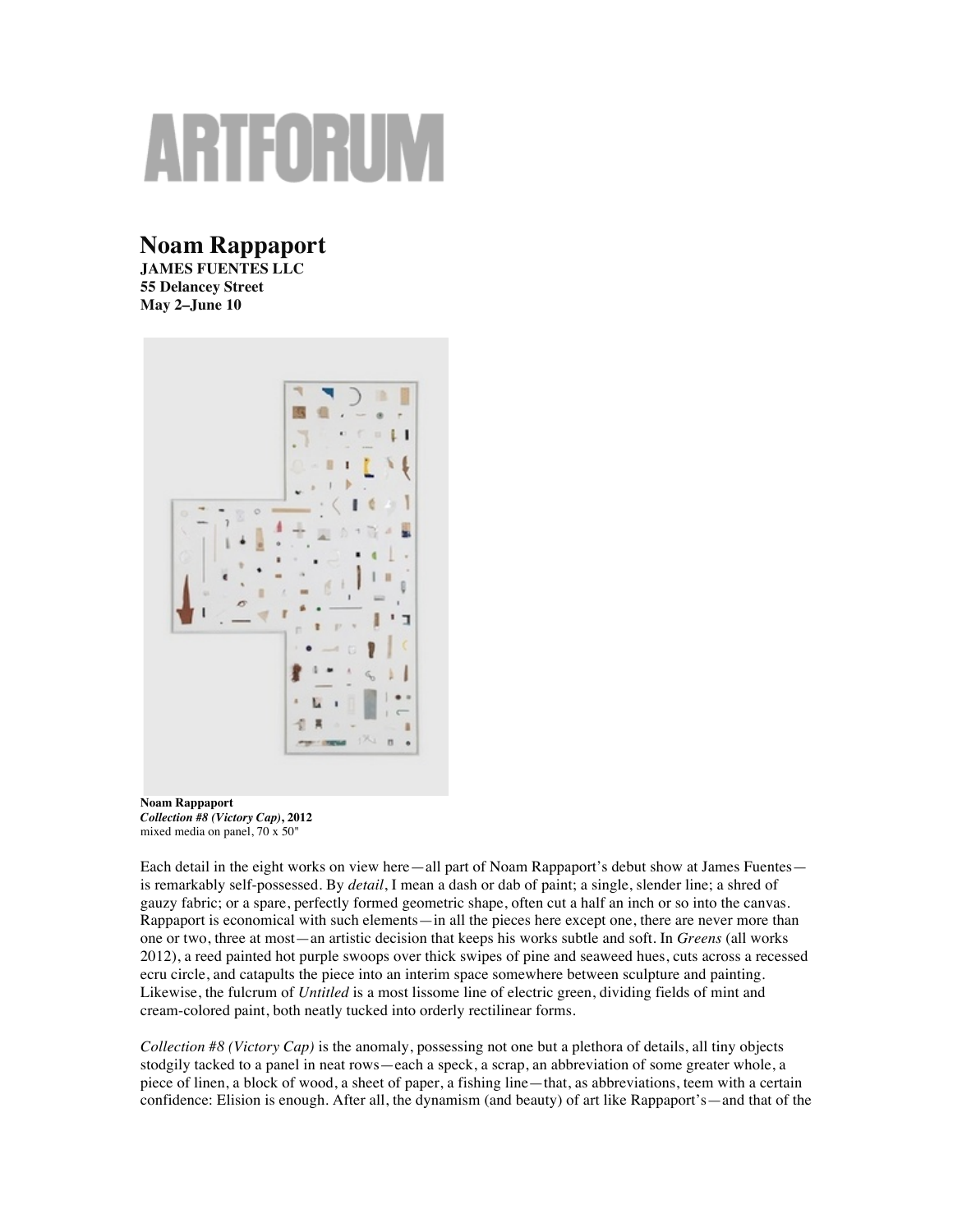## ARTFORUN

## **Noam Rappaport**

**JAMES FUENTES LLC 55 Delancey Street May 2–June 10**



**Noam Rappaport** *Collection #8 (Victory Cap)***, 2012** mixed media on panel, 70 x 50"

Each detail in the eight works on view here—all part of Noam Rappaport's debut show at James Fuentes is remarkably self-possessed. By *detail*, I mean a dash or dab of paint; a single, slender line; a shred of gauzy fabric; or a spare, perfectly formed geometric shape, often cut a half an inch or so into the canvas. Rappaport is economical with such elements—in all the pieces here except one, there are never more than one or two, three at most—an artistic decision that keeps his works subtle and soft. In *Greens* (all works 2012), a reed painted hot purple swoops over thick swipes of pine and seaweed hues, cuts across a recessed ecru circle, and catapults the piece into an interim space somewhere between sculpture and painting. Likewise, the fulcrum of *Untitled* is a most lissome line of electric green, dividing fields of mint and cream-colored paint, both neatly tucked into orderly rectilinear forms.

*Collection #8 (Victory Cap)* is the anomaly, possessing not one but a plethora of details, all tiny objects stodgily tacked to a panel in neat rows—each a speck, a scrap, an abbreviation of some greater whole, a piece of linen, a block of wood, a sheet of paper, a fishing line—that, as abbreviations, teem with a certain confidence: Elision is enough. After all, the dynamism (and beauty) of art like Rappaport's—and that of the